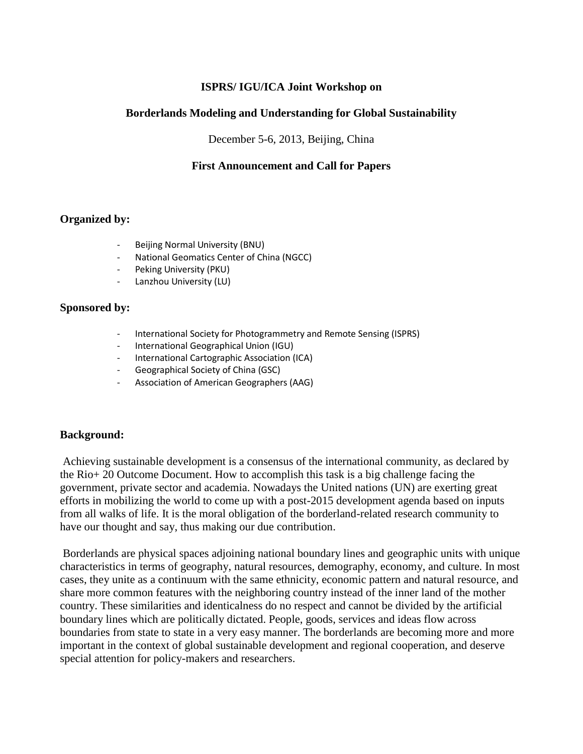# **ISPRS/ IGU/ICA Joint Workshop on**

# **Borderlands Modeling and Understanding for Global Sustainability**

December 5-6, 2013, Beijing, China

# **First Announcement and Call for Papers**

### **Organized by:**

- Beijing Normal University (BNU)
- National Geomatics Center of China (NGCC)
- Peking University (PKU)
- Lanzhou University (LU)

### **Sponsored by:**

- International Society for Photogrammetry and Remote Sensing (ISPRS)
- International Geographical Union (IGU)
- International Cartographic Association (ICA)
- Geographical Society of China (GSC)
- Association of American Geographers (AAG)

### **Background:**

Achieving sustainable development is a consensus of the international community, as declared by the Rio+ 20 Outcome Document. How to accomplish this task is a big challenge facing the government, private sector and academia. Nowadays the United nations (UN) are exerting great efforts in mobilizing the world to come up with a post-2015 development agenda based on inputs from all walks of life. It is the moral obligation of the borderland-related research community to have our thought and say, thus making our due contribution.

Borderlands are physical spaces adjoining national boundary lines and geographic units with unique characteristics in terms of geography, natural resources, demography, economy, and culture. In most cases, they unite as a continuum with the same ethnicity, economic pattern and natural resource, and share more common features with the neighboring country instead of the inner land of the mother country. These similarities and identicalness do no respect and cannot be divided by the artificial boundary lines which are politically dictated. People, goods, services and ideas flow across boundaries from state to state in a very easy manner. The borderlands are becoming more and more important in the context of global sustainable development and regional cooperation, and deserve special attention for policy-makers and researchers.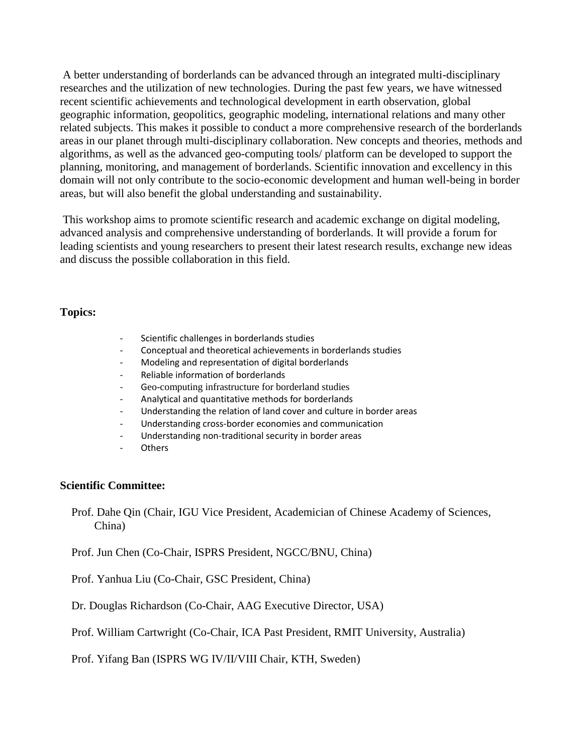A better understanding of borderlands can be advanced through an integrated multi-disciplinary researches and the utilization of new technologies. During the past few years, we have witnessed recent scientific achievements and technological development in earth observation, global geographic information, geopolitics, geographic modeling, international relations and many other related subjects. This makes it possible to conduct a more comprehensive research of the borderlands areas in our planet through multi-disciplinary collaboration. New concepts and theories, methods and algorithms, as well as the advanced geo-computing tools/ platform can be developed to support the planning, monitoring, and management of borderlands. Scientific innovation and excellency in this domain will not only contribute to the socio-economic development and human well-being in border areas, but will also benefit the global understanding and sustainability.

This workshop aims to promote scientific research and academic exchange on digital modeling, advanced analysis and comprehensive understanding of borderlands. It will provide a forum for leading scientists and young researchers to present their latest research results, exchange new ideas and discuss the possible collaboration in this field.

#### **Topics:**

- Scientific challenges in borderlands studies
- Conceptual and theoretical achievements in borderlands studies
- Modeling and representation of digital borderlands
- Reliable information of borderlands
- Geo-computing infrastructure for borderland studies
- Analytical and quantitative methods for borderlands
- Understanding the relation of land cover and culture in border areas
- Understanding cross-border economies and communication
- Understanding non-traditional security in border areas
- **Others**

#### **Scientific Committee:**

Prof. Dahe Qin (Chair, IGU Vice President, Academician of Chinese Academy of Sciences, China)

Prof. Jun Chen (Co-Chair, ISPRS President, NGCC/BNU, China)

Prof. Yanhua Liu (Co-Chair, GSC President, China)

Dr. Douglas Richardson (Co-Chair, AAG Executive Director, USA)

Prof. William Cartwright (Co-Chair, ICA Past President, RMIT University, Australia)

Prof. Yifang Ban (ISPRS WG IV/II/VIII Chair, KTH, Sweden)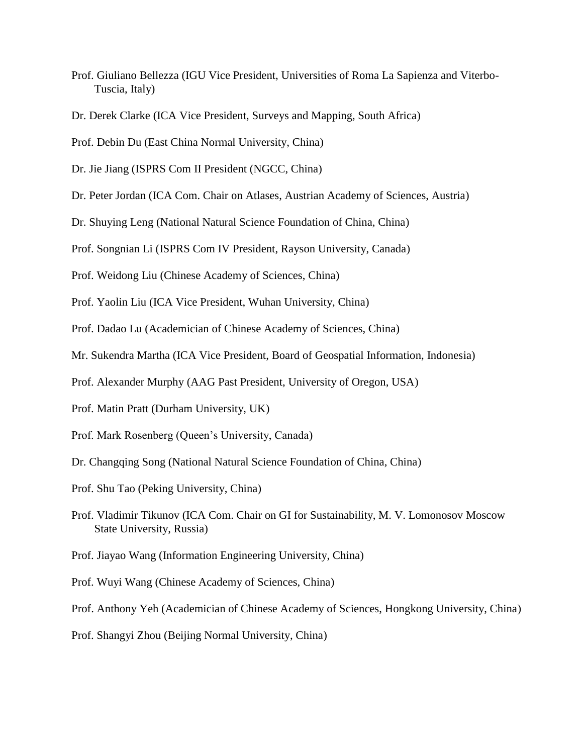Prof. Giuliano Bellezza (IGU Vice President, Universities of Roma La Sapienza and Viterbo-Tuscia, Italy)

Prof. Debin Du (East China Normal University, China)

Dr. Jie Jiang (ISPRS Com II President (NGCC, China)

Dr. Peter Jordan (ICA Com. Chair on Atlases, Austrian Academy of Sciences, Austria)

Dr. Shuying Leng (National Natural Science Foundation of China, China)

Prof. Songnian Li (ISPRS Com IV President, Rayson University, Canada)

Prof. Weidong Liu (Chinese Academy of Sciences, China)

Prof. Yaolin Liu (ICA Vice President, Wuhan University, China)

Prof. Dadao Lu (Academician of Chinese Academy of Sciences, China)

Mr. Sukendra Martha (ICA Vice President, Board of Geospatial Information, Indonesia)

Prof. Alexander Murphy (AAG Past President, University of Oregon, USA)

Prof. Matin Pratt (Durham University, UK)

Prof. Mark Rosenberg (Queen's University, Canada)

Dr. Changqing Song (National Natural Science Foundation of China, China)

Prof. Shu Tao (Peking University, China)

Prof. Vladimir Tikunov (ICA Com. Chair on GI for Sustainability, M. V. Lomonosov Moscow State University, Russia)

Prof. Jiayao Wang (Information Engineering University, China)

Prof. Wuyi Wang (Chinese Academy of Sciences, China)

Prof. Anthony Yeh (Academician of Chinese Academy of Sciences, Hongkong University, China)

Prof. Shangyi Zhou (Beijing Normal University, China)

Dr. Derek Clarke (ICA Vice President, Surveys and Mapping, South Africa)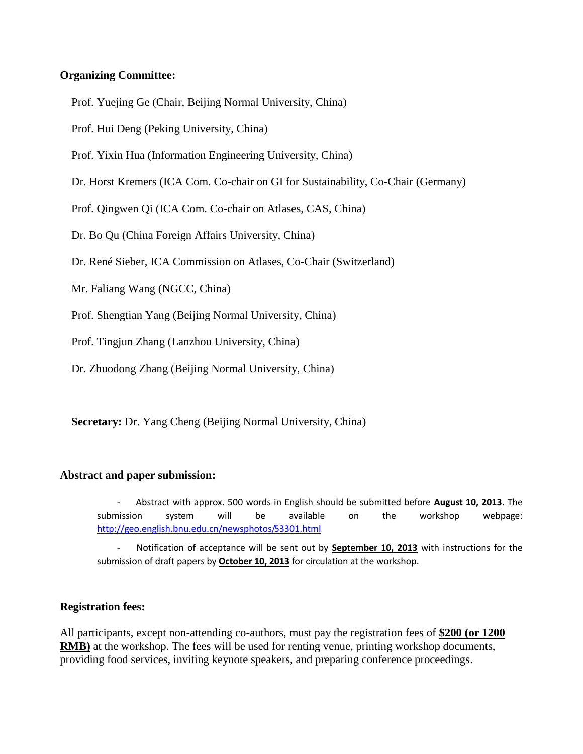# **Organizing Committee:**

Prof. Yuejing Ge (Chair, Beijing Normal University, China)

Prof. Hui Deng (Peking University, China)

Prof. Yixin Hua (Information Engineering University, China)

Dr. Horst Kremers (ICA Com. Co-chair on GI for Sustainability, Co-Chair (Germany)

Prof. Qingwen Qi (ICA Com. Co-chair on Atlases, CAS, China)

Dr. Bo Qu (China Foreign Affairs University, China)

Dr. René Sieber, ICA Commission on Atlases, Co-Chair (Switzerland)

Mr. Faliang Wang (NGCC, China)

Prof. Shengtian Yang (Beijing Normal University, China)

Prof. Tingjun Zhang (Lanzhou University, China)

Dr. Zhuodong Zhang (Beijing Normal University, China)

**Secretary:** Dr. Yang Cheng (Beijing Normal University, China)

### **Abstract and paper submission:**

- Abstract with approx. 500 words in English should be submitted before **August 10, 2013**. The submission system will be available on the workshop webpage: <http://geo.english.bnu.edu.cn/newsphotos/53301.html>

Notification of acceptance will be sent out by **September 10, 2013** with instructions for the submission of draft papers by **October 10, 2013** for circulation at the workshop.

### **Registration fees:**

All participants, except non-attending co-authors, must pay the registration fees of **\$200 (or 1200 RMB)** at the workshop. The fees will be used for renting venue, printing workshop documents, providing food services, inviting keynote speakers, and preparing conference proceedings.